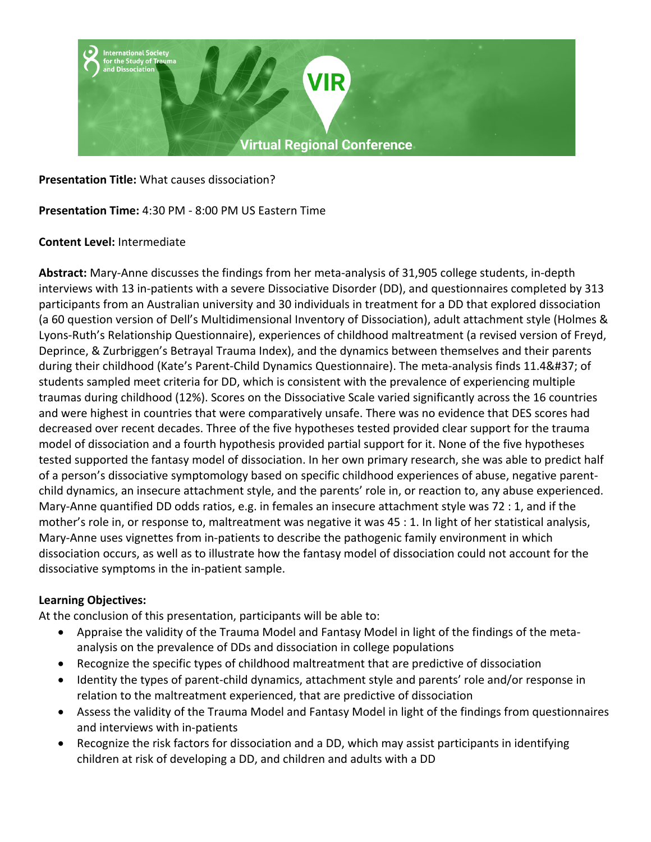

**Presentation Title:** What causes dissociation?

**Presentation Time:** 4:30 PM - 8:00 PM US Eastern Time

#### **Content Level:** Intermediate

**Abstract:** Mary-Anne discusses the findings from her meta-analysis of 31,905 college students, in-depth interviews with 13 in-patients with a severe Dissociative Disorder (DD), and questionnaires completed by 313 participants from an Australian university and 30 individuals in treatment for a DD that explored dissociation (a 60 question version of Dell's Multidimensional Inventory of Dissociation), adult attachment style (Holmes & Lyons-Ruth's Relationship Questionnaire), experiences of childhood maltreatment (a revised version of Freyd, Deprince, & Zurbriggen's Betrayal Trauma Index), and the dynamics between themselves and their parents during their childhood (Kate's Parent-Child Dynamics Questionnaire). The meta-analysis finds 11.4% of students sampled meet criteria for DD, which is consistent with the prevalence of experiencing multiple traumas during childhood (12%). Scores on the Dissociative Scale varied significantly across the 16 countries and were highest in countries that were comparatively unsafe. There was no evidence that DES scores had decreased over recent decades. Three of the five hypotheses tested provided clear support for the trauma model of dissociation and a fourth hypothesis provided partial support for it. None of the five hypotheses tested supported the fantasy model of dissociation. In her own primary research, she was able to predict half of a person's dissociative symptomology based on specific childhood experiences of abuse, negative parentchild dynamics, an insecure attachment style, and the parents' role in, or reaction to, any abuse experienced. Mary-Anne quantified DD odds ratios, e.g. in females an insecure attachment style was 72 : 1, and if the mother's role in, or response to, maltreatment was negative it was 45 : 1. In light of her statistical analysis, Mary-Anne uses vignettes from in-patients to describe the pathogenic family environment in which dissociation occurs, as well as to illustrate how the fantasy model of dissociation could not account for the dissociative symptoms in the in-patient sample.

#### **Learning Objectives:**

At the conclusion of this presentation, participants will be able to:

- Appraise the validity of the Trauma Model and Fantasy Model in light of the findings of the metaanalysis on the prevalence of DDs and dissociation in college populations
- Recognize the specific types of childhood maltreatment that are predictive of dissociation
- Identity the types of parent-child dynamics, attachment style and parents' role and/or response in relation to the maltreatment experienced, that are predictive of dissociation
- Assess the validity of the Trauma Model and Fantasy Model in light of the findings from questionnaires and interviews with in-patients
- Recognize the risk factors for dissociation and a DD, which may assist participants in identifying children at risk of developing a DD, and children and adults with a DD